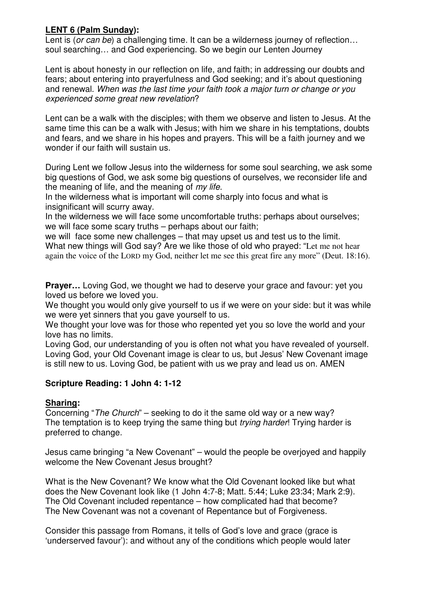## **LENT 6 (Palm Sunday):**

Lent is (or can be) a challenging time. It can be a wilderness journey of reflection... soul searching… and God experiencing. So we begin our Lenten Journey

Lent is about honesty in our reflection on life, and faith; in addressing our doubts and fears; about entering into prayerfulness and God seeking; and it's about questioning and renewal. When was the last time your faith took a major turn or change or you experienced some great new revelation?

Lent can be a walk with the disciples; with them we observe and listen to Jesus. At the same time this can be a walk with Jesus; with him we share in his temptations, doubts and fears, and we share in his hopes and prayers. This will be a faith journey and we wonder if our faith will sustain us.

During Lent we follow Jesus into the wilderness for some soul searching, we ask some big questions of God, we ask some big questions of ourselves, we reconsider life and the meaning of life, and the meaning of my life.

In the wilderness what is important will come sharply into focus and what is insignificant will scurry away.

In the wilderness we will face some uncomfortable truths: perhaps about ourselves; we will face some scary truths – perhaps about our faith;

we will face some new challenges – that may upset us and test us to the limit. What new things will God say? Are we like those of old who prayed: "Let me not hear again the voice of the LORD my God, neither let me see this great fire any more" (Deut. 18:16).

**Prayer…** Loving God, we thought we had to deserve your grace and favour: yet you loved us before we loved you.

We thought you would only give yourself to us if we were on your side: but it was while we were yet sinners that you gave yourself to us.

We thought your love was for those who repented yet you so love the world and your love has no limits.

Loving God, our understanding of you is often not what you have revealed of yourself. Loving God, your Old Covenant image is clear to us, but Jesus' New Covenant image is still new to us. Loving God, be patient with us we pray and lead us on. AMEN

## **Scripture Reading: 1 John 4: 1-12**

## **Sharing:**

Concerning "The Church" – seeking to do it the same old way or a new way? The temptation is to keep trying the same thing but *trying harder*! Trying harder is preferred to change.

Jesus came bringing "a New Covenant" – would the people be overjoyed and happily welcome the New Covenant Jesus brought?

What is the New Covenant? We know what the Old Covenant looked like but what does the New Covenant look like (1 John 4:7-8; Matt. 5:44; Luke 23:34; Mark 2:9). The Old Covenant included repentance – how complicated had that become? The New Covenant was not a covenant of Repentance but of Forgiveness.

Consider this passage from Romans, it tells of God's love and grace (grace is 'underserved favour'): and without any of the conditions which people would later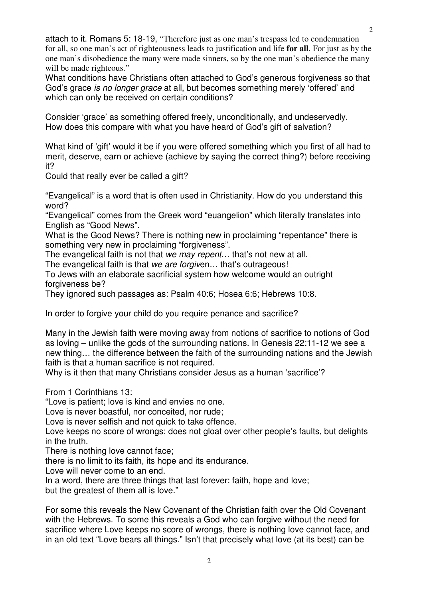attach to it. Romans 5: 18-19, "Therefore just as one man's trespass led to condemnation for all, so one man's act of righteousness leads to justification and life **for all**. For just as by the one man's disobedience the many were made sinners, so by the one man's obedience the many will be made righteous."

What conditions have Christians often attached to God's generous forgiveness so that God's grace is no longer grace at all, but becomes something merely 'offered' and which can only be received on certain conditions?

Consider 'grace' as something offered freely, unconditionally, and undeservedly. How does this compare with what you have heard of God's gift of salvation?

What kind of 'gift' would it be if you were offered something which you first of all had to merit, deserve, earn or achieve (achieve by saying the correct thing?) before receiving it?

Could that really ever be called a gift?

"Evangelical" is a word that is often used in Christianity. How do you understand this word?

"Evangelical" comes from the Greek word "euangelion" which literally translates into English as "Good News".

What is the Good News? There is nothing new in proclaiming "repentance" there is something very new in proclaiming "forgiveness".

The evangelical faith is not that we may repent... that's not new at all.

The evangelical faith is that we are forgiven... that's outrageous!

To Jews with an elaborate sacrificial system how welcome would an outright forgiveness be?

They ignored such passages as: Psalm 40:6; Hosea 6:6; Hebrews 10:8.

In order to forgive your child do you require penance and sacrifice?

Many in the Jewish faith were moving away from notions of sacrifice to notions of God as loving – unlike the gods of the surrounding nations. In Genesis 22:11-12 we see a new thing… the difference between the faith of the surrounding nations and the Jewish faith is that a human sacrifice is not required.

Why is it then that many Christians consider Jesus as a human 'sacrifice'?

From 1 Corinthians 13:

"Love is patient; love is kind and envies no one.

Love is never boastful, nor conceited, nor rude;

Love is never selfish and not quick to take offence.

Love keeps no score of wrongs; does not gloat over other people's faults, but delights in the truth.

There is nothing love cannot face;

there is no limit to its faith, its hope and its endurance.

Love will never come to an end.

In a word, there are three things that last forever: faith, hope and love;

but the greatest of them all is love."

For some this reveals the New Covenant of the Christian faith over the Old Covenant with the Hebrews. To some this reveals a God who can forgive without the need for sacrifice where Love keeps no score of wrongs, there is nothing love cannot face, and in an old text "Love bears all things." Isn't that precisely what love (at its best) can be